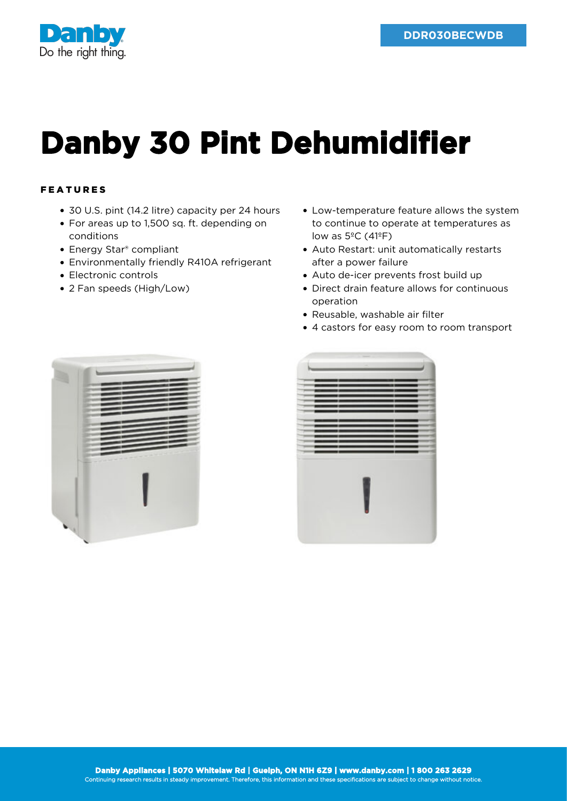

## **Danby 30 Pint Dehumidifier**

## FEATURES

- 30 U.S. pint (14.2 litre) capacity per 24 hours
- For areas up to 1,500 sq. ft. depending on conditions
- Energy Star® compliant
- Environmentally friendly R410A refrigerant
- Electronic controls
- 2 Fan speeds (High/Low)
- Low-temperature feature allows the system to continue to operate at temperatures as low as  $5^{\circ}$ C (41 $^{\circ}$ F)
- Auto Restart: unit automatically restarts after a power failure
- Auto de-icer prevents frost build up
- Direct drain feature allows for continuous operation
- Reusable, washable air filter
- 4 castors for easy room to room transport